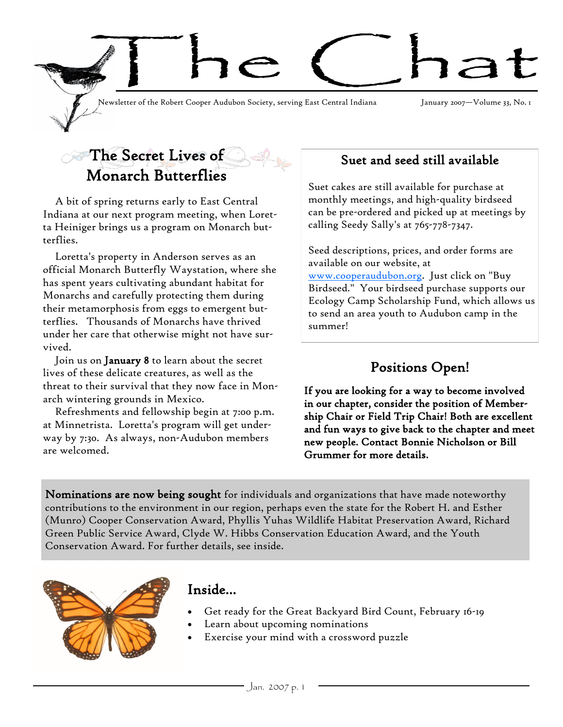

## The Secret Lives of Monarch Butterflies

A bit of spring returns early to East Central Indiana at our next program meeting, when Loretta Heiniger brings us a program on Monarch butterflies.

Loretta's property in Anderson serves as an official Monarch Butterfly Waystation, where she has spent years cultivating abundant habitat for Monarchs and carefully protecting them during their metamorphosis from eggs to emergent butterflies. Thousands of Monarchs have thrived under her care that otherwise might not have survived.

Join us on **January 8** to learn about the secret lives of these delicate creatures, as well as the threat to their survival that they now face in Monarch wintering grounds in Mexico.

Refreshments and fellowship begin at 7:00 p.m. at Minnetrista. Loretta's program will get underway by 7:30. As always, non-Audubon members are welcomed.

### Suet and seed still available

Suet cakes are still available for purchase at monthly meetings, and high-quality birdseed can be pre-ordered and picked up at meetings by calling Seedy Sally's at 765-778-7347.

Seed descriptions, prices, and order forms are available on our website, at [www.cooperaudubon.org.](https://webmail.bsu.edu/exchweb/bin/redir.asp?URL=http://www.cooperaudubon.org) Just click on "Buy Birdseed." Your birdseed purchase supports our Ecology Camp Scholarship Fund, which allows us to send an area youth to Audubon camp in the summer!

## Positions Open!

If you are looking for a way to become involved in our chapter, consider the position of Membership Chair or Field Trip Chair! Both are excellent and fun ways to give back to the chapter and meet new people. Contact Bonnie Nicholson or Bill Grummer for more details.

Nominations are now being sought for individuals and organizations that have made noteworthy contributions to the environment in our region, perhaps even the state for the Robert H. and Esther (Munro) Cooper Conservation Award, Phyllis Yuhas Wildlife Habitat Preservation Award, Richard Green Public Service Award, Clyde W. Hibbs Conservation Education Award, and the Youth Conservation Award. For further details, see inside.



### Inside...

- Get ready for the Great Backyard Bird Count, February 16-19
- Learn about upcoming nominations
- Exercise your mind with a crossword puzzle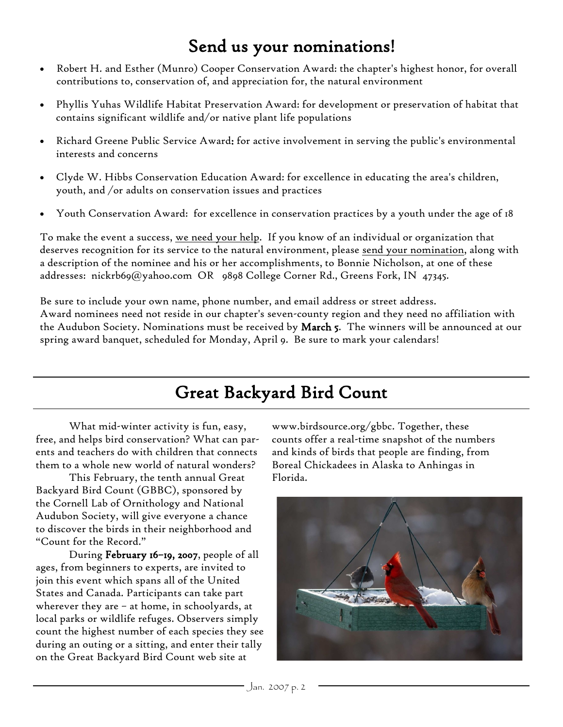# Send us your nominations!

- Robert H. and Esther (Munro) Cooper Conservation Award: the chapter's highest honor, for overall contributions to, conservation of, and appreciation for, the natural environment
- Phyllis Yuhas Wildlife Habitat Preservation Award: for development or preservation of habitat that contains significant wildlife and/or native plant life populations
- Richard Greene Public Service Award: for active involvement in serving the public's environmental interests and concerns
- Clyde W. Hibbs Conservation Education Award: for excellence in educating the area's children, youth, and /or adults on conservation issues and practices
- Youth Conservation Award: for excellence in conservation practices by a youth under the age of 18

To make the event a success, we need your help. If you know of an individual or organization that deserves recognition for its service to the natural environment, please send your nomination, along with a description of the nominee and his or her accomplishments, to Bonnie Nicholson, at one of these addresses: nickrb69@yahoo.com OR 9898 College Corner Rd., Greens Fork, IN 47345.

Be sure to include your own name, phone number, and email address or street address. Award nominees need not reside in our chapter's seven-county region and they need no affiliation with the Audubon Society. Nominations must be received by March 5. The winners will be announced at our spring award banquet, scheduled for Monday, April 9. Be sure to mark your calendars!

# Great Backyard Bird Count

What mid-winter activity is fun, easy, free, and helps bird conservation? What can parents and teachers do with children that connects them to a whole new world of natural wonders?

This February, the tenth annual Great Backyard Bird Count (GBBC), sponsored by the Cornell Lab of Ornithology and National Audubon Society, will give everyone a chance to discover the birds in their neighborhood and "Count for the Record."

During February 16–19, 2007, people of all ages, from beginners to experts, are invited to join this event which spans all of the United States and Canada. Participants can take part wherever they are – at home, in schoolyards, at local parks or wildlife refuges. Observers simply count the highest number of each species they see during an outing or a sitting, and enter their tally on the Great Backyard Bird Count web site at

www.birdsource.org/gbbc. Together, these counts offer a real-time snapshot of the numbers and kinds of birds that people are finding, from Boreal Chickadees in Alaska to Anhingas in Florida.

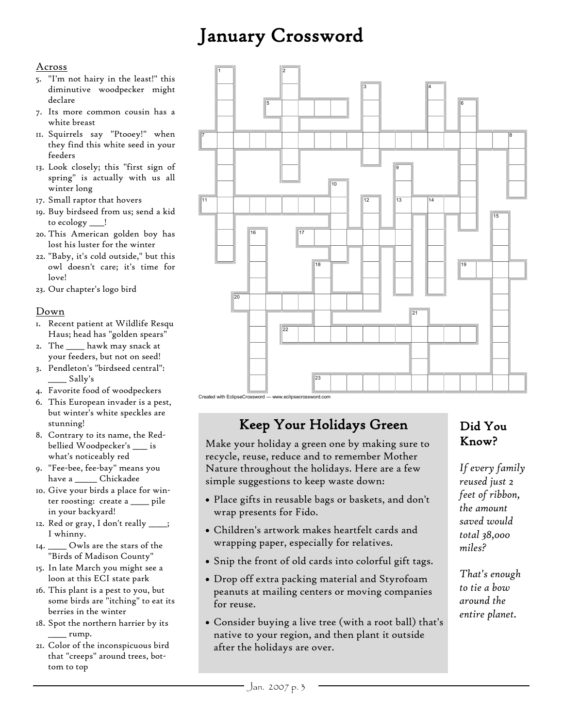# January Crossword

#### Across

- 5. "I'm not hairy in the least!" this diminutive woodpecker might declare
- 7. Its more common cousin has a white breast
- 11. Squirrels say "Ptooey!" when they find this white seed in your feeders
- 13. Look closely; this "first sign of spring" is actually with us all winter long
- 17. Small raptor that hovers
- 19. Buy birdseed from us; send a kid to ecology \_\_\_\_!
- 20. This American golden boy has lost his luster for the winter
- 22. "Baby, it's cold outside," but this owl doesn't care; it's time for love!
- 23. Our chapter's logo bird

#### Down

- 1. Recent patient at Wildlife Resqu Haus; head has "golden spears"
- 2. The \_\_\_\_\_ hawk may snack at your feeders, but not on seed!
- 3. Pendleton's "birdseed central":  $\_\_$  Sally's
- 4. Favorite food of woodpeckers
- 6. This European invader is a pest, but winter's white speckles are stunning!
- 8. Contrary to its name, the Redbellied Woodpecker's \_\_\_\_ is what's noticeably red
- 9. "Fee-bee, fee-bay" means you have a \_\_\_\_\_\_ Chickadee
- 10. Give your birds a place for winter roosting: create a \_\_\_\_\_ pile in your backyard!
- 12. Red or gray, I don't really \_\_\_\_; I whinny.
- 14. \_\_\_\_\_ Owls are the stars of the "Birds of Madison County"
- 15. In late March you might see a loon at this ECI state park
- 16. This plant is a pest to you, but some birds are "itching" to eat its berries in the winter
- 18. Spot the northern harrier by its  $\equiv$ rump.
- 21. Color of the inconspicuous bird that "creeps" around trees, bottom to top



#### Created with EclipseCrossword — www.eclipsecrossword.com

## Keep Your Holidays Green

Make your holiday a green one by making sure to recycle, reuse, reduce and to remember Mother Nature throughout the holidays. Here are a few simple suggestions to keep waste down:

- Place gifts in reusable bags or baskets, and don't wrap presents for Fido.
- Children's artwork makes heartfelt cards and wrapping paper, especially for relatives.
- Snip the front of old cards into colorful gift tags.
- Drop off extra packing material and Styrofoam peanuts at mailing centers or moving companies for reuse.
- Consider buying a live tree (with a root ball) that's native to your region, and then plant it outside after the holidays are over.

### Did You Know?

*If every family reused just 2 feet of ribbon, the amount saved would total 38,000 miles?* 

*That's enough to tie a bow around the entire planet.*